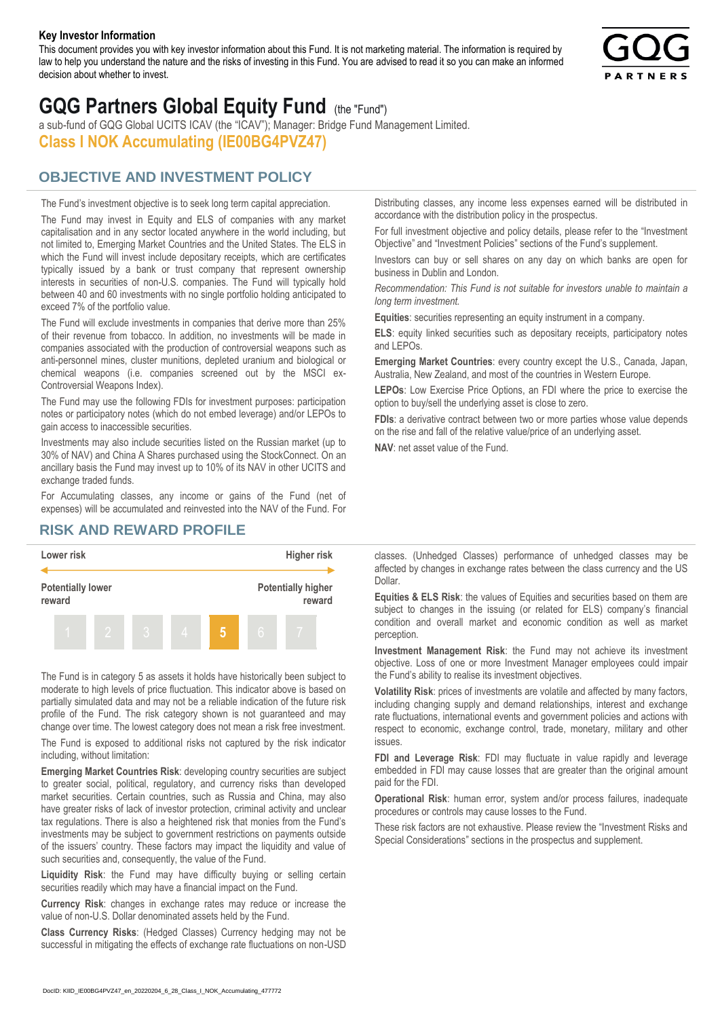#### **Key Investor Information**

This document provides you with key investor information about this Fund. It is not marketing material. The information is required by law to help you understand the nature and the risks of investing in this Fund. You are advised to read it so you can make an informed decision about whether to invest.



# **GQG Partners Global Equity Fund** (the "Fund")

a sub-fund of GQG Global UCITS ICAV (the "ICAV"); Manager: Bridge Fund Management Limited. **Class I NOK Accumulating (IE00BG4PVZ47)**

## **OBJECTIVE AND INVESTMENT POLICY**

The Fund's investment objective is to seek long term capital appreciation. The Fund may invest in Equity and ELS of companies with any market capitalisation and in any sector located anywhere in the world including, but not limited to, Emerging Market Countries and the United States. The ELS in which the Fund will invest include depositary receipts, which are certificates typically issued by a bank or trust company that represent ownership interests in securities of non-U.S. companies. The Fund will typically hold between 40 and 60 investments with no single portfolio holding anticipated to exceed 7% of the portfolio value.

The Fund will exclude investments in companies that derive more than 25% of their revenue from tobacco. In addition, no investments will be made in companies associated with the production of controversial weapons such as anti-personnel mines, cluster munitions, depleted uranium and biological or chemical weapons (i.e. companies screened out by the MSCI ex-Controversial Weapons Index).

The Fund may use the following FDIs for investment purposes: participation notes or participatory notes (which do not embed leverage) and/or LEPOs to gain access to inaccessible securities.

Investments may also include securities listed on the Russian market (up to 30% of NAV) and China A Shares purchased using the StockConnect. On an ancillary basis the Fund may invest up to 10% of its NAV in other UCITS and exchange traded funds.

For Accumulating classes, any income or gains of the Fund (net of expenses) will be accumulated and reinvested into the NAV of the Fund. For Distributing classes, any income less expenses earned will be distributed in accordance with the distribution policy in the prospectus.

For full investment objective and policy details, please refer to the "Investment Objective" and "Investment Policies" sections of the Fund's supplement.

Investors can buy or sell shares on any day on which banks are open for business in Dublin and London.

*Recommendation: This Fund is not suitable for investors unable to maintain a long term investment.*

**Equities**: securities representing an equity instrument in a company.

**ELS**: equity linked securities such as depositary receipts, participatory notes and LEPOs.

**Emerging Market Countries**: every country except the U.S., Canada, Japan, Australia, New Zealand, and most of the countries in Western Europe.

**LEPOs**: Low Exercise Price Options, an FDI where the price to exercise the option to buy/sell the underlying asset is close to zero.

**FDIs**: a derivative contract between two or more parties whose value depends on the rise and fall of the relative value/price of an underlying asset.

**NAV**: net asset value of the Fund.

### **RISK AND REWARD PROFILE**



The Fund is in category 5 as assets it holds have historically been subject to moderate to high levels of price fluctuation. This indicator above is based on partially simulated data and may not be a reliable indication of the future risk profile of the Fund. The risk category shown is not guaranteed and may change over time. The lowest category does not mean a risk free investment.

The Fund is exposed to additional risks not captured by the risk indicator including, without limitation:

**Emerging Market Countries Risk**: developing country securities are subject to greater social, political, regulatory, and currency risks than developed market securities. Certain countries, such as Russia and China, may also have greater risks of lack of investor protection, criminal activity and unclear tax regulations. There is also a heightened risk that monies from the Fund's investments may be subject to government restrictions on payments outside of the issuers' country. These factors may impact the liquidity and value of such securities and, consequently, the value of the Fund.

**Liquidity Risk**: the Fund may have difficulty buying or selling certain securities readily which may have a financial impact on the Fund.

**Currency Risk**: changes in exchange rates may reduce or increase the value of non-U.S. Dollar denominated assets held by the Fund.

**Class Currency Risks**: (Hedged Classes) Currency hedging may not be successful in mitigating the effects of exchange rate fluctuations on non-USD classes. (Unhedged Classes) performance of unhedged classes may be affected by changes in exchange rates between the class currency and the US Dollar.

**Equities & ELS Risk**: the values of Equities and securities based on them are subject to changes in the issuing (or related for ELS) company's financial condition and overall market and economic condition as well as market perception.

**Investment Management Risk**: the Fund may not achieve its investment objective. Loss of one or more Investment Manager employees could impair the Fund's ability to realise its investment objectives.

**Volatility Risk**: prices of investments are volatile and affected by many factors, including changing supply and demand relationships, interest and exchange rate fluctuations, international events and government policies and actions with respect to economic, exchange control, trade, monetary, military and other issues.

**FDI and Leverage Risk**: FDI may fluctuate in value rapidly and leverage embedded in FDI may cause losses that are greater than the original amount paid for the FDI.

**Operational Risk**: human error, system and/or process failures, inadequate procedures or controls may cause losses to the Fund.

These risk factors are not exhaustive. Please review the "Investment Risks and Special Considerations" sections in the prospectus and supplement.